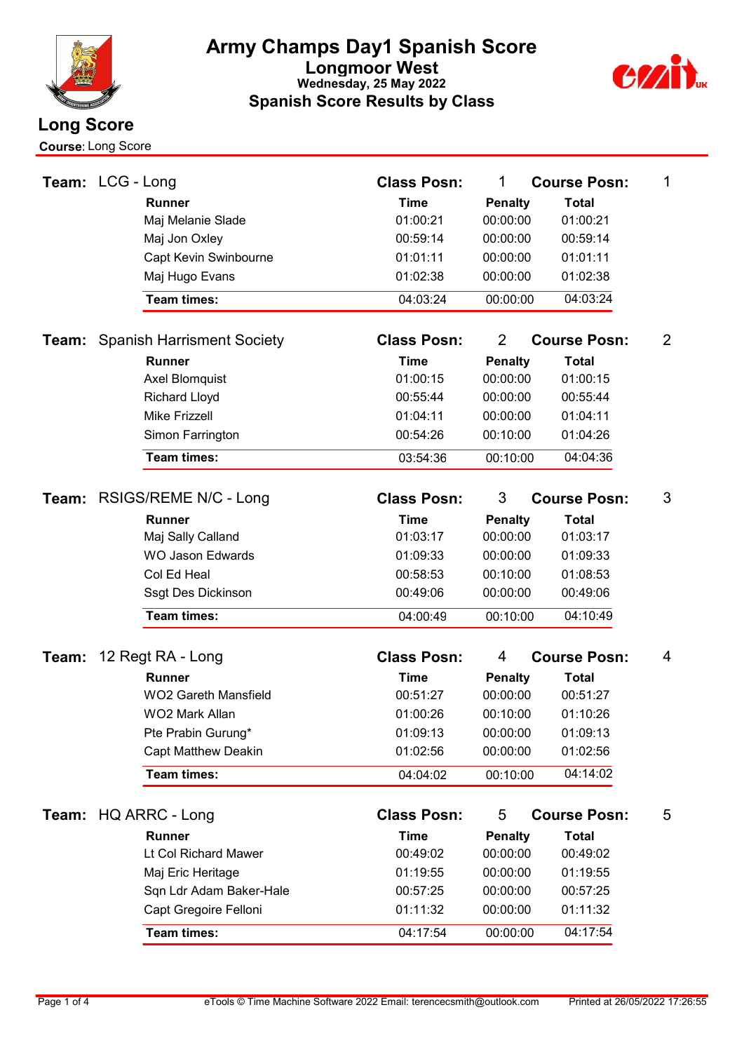

Course:Long Score



| Team: LCG - Long |                   |                                   | <b>Class Posn:</b> | 1              | <b>Course Posn:</b> | 1              |
|------------------|-------------------|-----------------------------------|--------------------|----------------|---------------------|----------------|
|                  |                   | <b>Runner</b>                     | <b>Time</b>        | <b>Penalty</b> | <b>Total</b>        |                |
|                  |                   | Maj Melanie Slade                 | 01:00:21           | 00:00:00       | 01:00:21            |                |
|                  |                   | Maj Jon Oxley                     | 00:59:14           | 00:00:00       | 00:59:14            |                |
|                  |                   | Capt Kevin Swinbourne             | 01:01:11           | 00:00:00       | 01:01:11            |                |
|                  |                   | Maj Hugo Evans                    | 01:02:38           | 00:00:00       | 01:02:38            |                |
|                  |                   | <b>Team times:</b>                | 04:03:24           | 00:00:00       | 04:03:24            |                |
| Team:            |                   | <b>Spanish Harrisment Society</b> | <b>Class Posn:</b> | $\overline{2}$ | <b>Course Posn:</b> | $\overline{2}$ |
|                  |                   | <b>Runner</b>                     | <b>Time</b>        | <b>Penalty</b> | <b>Total</b>        |                |
|                  |                   | Axel Blomquist                    | 01:00:15           | 00:00:00       | 01:00:15            |                |
|                  |                   | <b>Richard Lloyd</b>              | 00:55:44           | 00:00:00       | 00:55:44            |                |
|                  |                   | <b>Mike Frizzell</b>              | 01:04:11           | 00:00:00       | 01:04:11            |                |
|                  |                   | Simon Farrington                  | 00:54:26           | 00:10:00       | 01:04:26            |                |
|                  |                   | <b>Team times:</b>                | 03:54:36           | 00:10:00       | 04:04:36            |                |
|                  |                   | Team: RSIGS/REME N/C - Long       | <b>Class Posn:</b> | 3              | <b>Course Posn:</b> | 3              |
|                  |                   | <b>Runner</b>                     | <b>Time</b>        | <b>Penalty</b> | <b>Total</b>        |                |
|                  |                   | Maj Sally Calland                 | 01:03:17           | 00:00:00       | 01:03:17            |                |
|                  |                   | <b>WO Jason Edwards</b>           | 01:09:33           | 00:00:00       | 01:09:33            |                |
|                  |                   | Col Ed Heal                       | 00:58:53           | 00:10:00       | 01:08:53            |                |
|                  |                   | Ssgt Des Dickinson                | 00:49:06           | 00:00:00       | 00:49:06            |                |
|                  |                   | <b>Team times:</b>                | 04:00:49           | 00:10:00       | 04:10:49            |                |
|                  |                   |                                   |                    |                |                     |                |
| Team:            | 12 Regt RA - Long |                                   | <b>Class Posn:</b> | 4              | <b>Course Posn:</b> | 4              |
|                  |                   | <b>Runner</b>                     | <b>Time</b>        | <b>Penalty</b> | <b>Total</b>        |                |
|                  |                   | <b>WO2 Gareth Mansfield</b>       | 00:51:27           | 00:00:00       | 00:51:27            |                |
|                  |                   | WO2 Mark Allan                    | 01:00:26           | 00:10:00       | 01:10:26            |                |
|                  |                   | Pte Prabin Gurung*                | 01:09:13           | 00:00:00       | 01:09:13            |                |
|                  |                   | <b>Capt Matthew Deakin</b>        | 01:02:56           | 00:00:00       | 01:02:56            |                |
|                  |                   | Team times:                       | 04:04:02           | 00:10:00       | 04:14:02            |                |
|                  |                   | Team: HQ ARRC - Long              | <b>Class Posn:</b> | 5              | <b>Course Posn:</b> | 5              |
|                  |                   | <b>Runner</b>                     | <b>Time</b>        | <b>Penalty</b> | <b>Total</b>        |                |
|                  |                   | Lt Col Richard Mawer              | 00:49:02           | 00:00:00       | 00:49:02            |                |
|                  |                   | Maj Eric Heritage                 | 01:19:55           | 00:00:00       | 01:19:55            |                |
|                  |                   | Sqn Ldr Adam Baker-Hale           | 00:57:25           | 00:00:00       | 00:57:25            |                |
|                  |                   | Capt Gregoire Felloni             | 01:11:32           | 00:00:00       | 01:11:32            |                |
|                  |                   | <b>Team times:</b>                | 04:17:54           | 00:00:00       | 04:17:54            |                |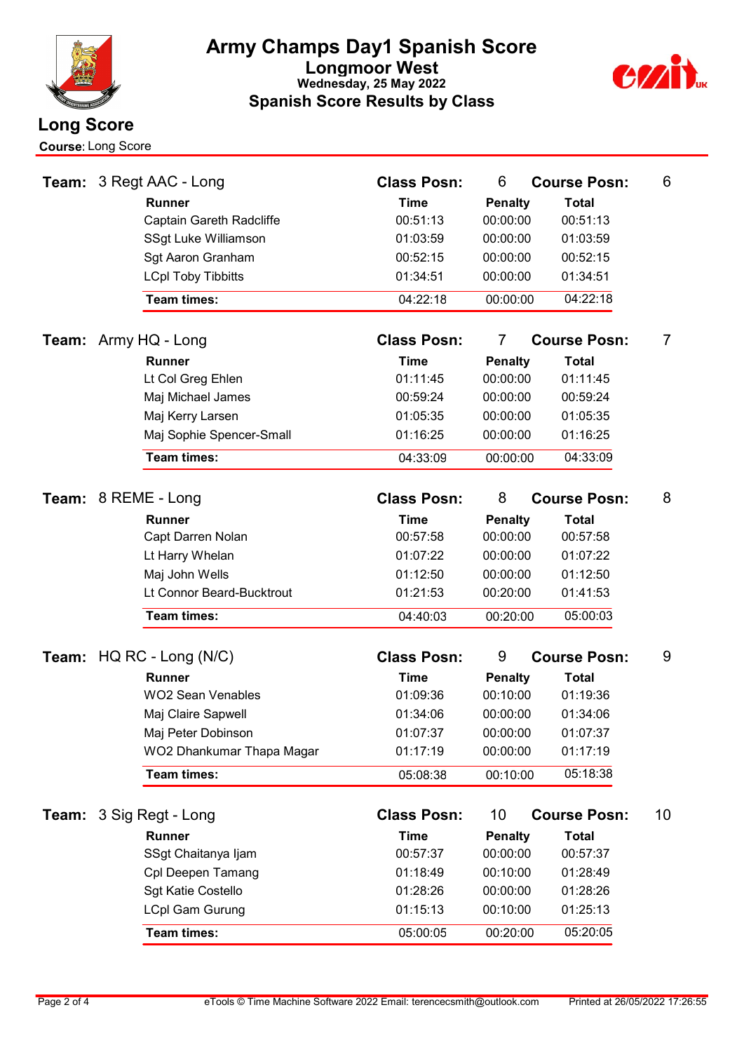



|       | <b>Course: Long Score</b>         |                                      |                |                     |    |
|-------|-----------------------------------|--------------------------------------|----------------|---------------------|----|
|       | <b>Team: 3 Regt AAC - Long</b>    | <b>Class Posn:</b>                   | 6              | <b>Course Posn:</b> | 6  |
|       | <b>Runner</b>                     | <b>Time</b>                          | <b>Penalty</b> | <b>Total</b>        |    |
|       | Captain Gareth Radcliffe          | 00:51:13                             | 00:00:00       | 00:51:13            |    |
|       | SSgt Luke Williamson              | 01:03:59                             | 00:00:00       | 01:03:59            |    |
|       | Sgt Aaron Granham                 | 00:52:15                             | 00:00:00       | 00:52:15            |    |
|       | <b>LCpl Toby Tibbitts</b>         | 01:34:51                             | 00:00:00       | 01:34:51            |    |
|       | Team times:                       | 04:22:18                             | 00:00:00       | 04:22:18            |    |
|       | <b>Team:</b> Army HQ - Long       | <b>Class Posn:</b><br>$\overline{7}$ |                | <b>Course Posn:</b> | 7  |
|       | <b>Runner</b>                     | <b>Time</b>                          | <b>Penalty</b> | <b>Total</b>        |    |
|       | Lt Col Greg Ehlen                 | 01:11:45                             | 00:00:00       | 01:11:45            |    |
|       | Maj Michael James                 | 00:59:24                             | 00:00:00       | 00:59:24            |    |
|       | Maj Kerry Larsen                  | 01:05:35                             | 00:00:00       | 01:05:35            |    |
|       | Maj Sophie Spencer-Small          | 01:16:25                             | 00:00:00       | 01:16:25            |    |
|       | Team times:                       | 04:33:09                             | 00:00:00       | 04:33:09            |    |
|       | Team: 8 REME - Long               | <b>Class Posn:</b>                   | 8              | <b>Course Posn:</b> | 8  |
|       | <b>Runner</b>                     | <b>Time</b>                          | <b>Penalty</b> | <b>Total</b>        |    |
|       | Capt Darren Nolan                 | 00:57:58                             | 00:00:00       | 00:57:58            |    |
|       | Lt Harry Whelan                   | 01:07:22                             | 00:00:00       | 01:07:22            |    |
|       | Maj John Wells                    | 01:12:50                             | 00:00:00       | 01:12:50            |    |
|       | Lt Connor Beard-Bucktrout         | 01:21:53                             | 00:20:00       | 01:41:53            |    |
|       | Team times:                       | 04:40:03                             | 00:20:00       | 05:00:03            |    |
|       |                                   |                                      |                |                     |    |
|       | <b>Team:</b> HQ RC - Long $(N/C)$ | <b>Class Posn:</b>                   | 9              | <b>Course Posn:</b> | 9  |
|       | <b>Runner</b>                     | <b>Time</b>                          | <b>Penalty</b> | <b>Total</b>        |    |
|       | <b>WO2 Sean Venables</b>          | 01:09:36                             | 00:10:00       | 01:19:36            |    |
|       | Maj Claire Sapwell                | 01:34:06                             | 00:00:00       | 01:34:06            |    |
|       | Maj Peter Dobinson                | 01:07:37                             | 00:00:00       | 01:07:37            |    |
|       | WO2 Dhankumar Thapa Magar         | 01:17:19                             | 00:00:00       | 01:17:19            |    |
|       | Team times:                       | 05:08:38                             | 00:10:00       | 05:18:38            |    |
| Team: | 3 Sig Regt - Long                 | <b>Class Posn:</b>                   | 10             | <b>Course Posn:</b> | 10 |
|       | Runner                            | <b>Time</b>                          | <b>Penalty</b> | <b>Total</b>        |    |
|       | SSgt Chaitanya Ijam               | 00:57:37                             | 00:00:00       | 00:57:37            |    |
|       | Cpl Deepen Tamang                 | 01:18:49                             | 00:10:00       | 01:28:49            |    |
|       | Sgt Katie Costello                | 01:28:26                             | 00:00:00       | 01:28:26            |    |
|       | <b>LCpl Gam Gurung</b>            | 01:15:13                             | 00:10:00       | 01:25:13            |    |
|       | Team times:                       | 05:00:05                             | 00:20:00       | 05:20:05            |    |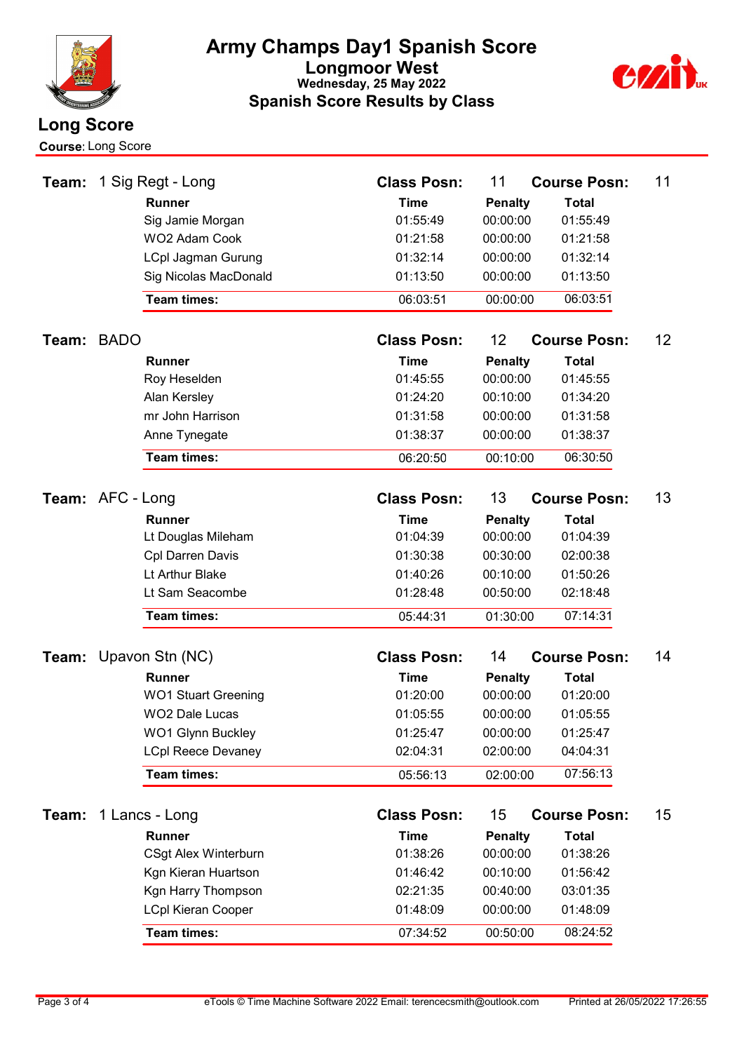

Course:Long Score



| Team:            |             | 1 Sig Regt - Long                                   | <b>Class Posn:</b>      | 11                         | <b>Course Posn:</b>      | 11 |
|------------------|-------------|-----------------------------------------------------|-------------------------|----------------------------|--------------------------|----|
|                  |             | <b>Runner</b>                                       | <b>Time</b>             | <b>Penalty</b>             | <b>Total</b>             |    |
|                  |             | Sig Jamie Morgan                                    | 01:55:49                | 00:00:00                   | 01:55:49                 |    |
|                  |             | WO2 Adam Cook                                       | 01:21:58                | 00:00:00                   | 01:21:58                 |    |
|                  |             | <b>LCpl Jagman Gurung</b>                           | 01:32:14                | 00:00:00                   | 01:32:14                 |    |
|                  |             | Sig Nicolas MacDonald                               | 01:13:50                | 00:00:00                   | 01:13:50                 |    |
|                  |             | Team times:                                         | 06:03:51                | 00:00:00                   | 06:03:51                 |    |
| Team:            | <b>BADO</b> |                                                     | <b>Class Posn:</b>      | 12                         | <b>Course Posn:</b>      | 12 |
|                  |             | Runner                                              | <b>Time</b>             | <b>Penalty</b>             | <b>Total</b>             |    |
|                  |             | Roy Heselden                                        | 01:45:55                | 00:00:00                   | 01:45:55                 |    |
|                  |             | Alan Kersley                                        | 01:24:20                | 00:10:00                   | 01:34:20                 |    |
|                  |             | mr John Harrison                                    | 01:31:58                | 00:00:00                   | 01:31:58                 |    |
|                  |             | Anne Tynegate                                       | 01:38:37                | 00:00:00                   | 01:38:37                 |    |
|                  |             | <b>Team times:</b>                                  | 06:20:50                | 00:10:00                   | 06:30:50                 |    |
| Team: AFC - Long |             |                                                     | <b>Class Posn:</b>      | 13                         | <b>Course Posn:</b>      | 13 |
|                  |             | <b>Runner</b>                                       | <b>Time</b>             | <b>Penalty</b>             | <b>Total</b>             |    |
|                  |             | Lt Douglas Mileham                                  | 01:04:39                | 00:00:00                   | 01:04:39                 |    |
|                  |             | <b>Cpl Darren Davis</b>                             | 01:30:38                | 00:30:00                   | 02:00:38                 |    |
|                  |             | Lt Arthur Blake                                     | 01:40:26                | 00:10:00                   | 01:50:26                 |    |
|                  |             | Lt Sam Seacombe                                     | 01:28:48                | 00:50:00                   | 02:18:48                 |    |
|                  |             | <b>Team times:</b>                                  | 05:44:31                | 01:30:00                   | 07:14:31                 |    |
|                  |             |                                                     | <b>Class Posn:</b>      |                            |                          | 14 |
|                  |             | <b>Team:</b> Upavon Stn (NC)                        |                         | 14                         | <b>Course Posn:</b>      |    |
|                  |             | <b>Runner</b>                                       | <b>Time</b><br>01:20:00 | <b>Penalty</b><br>00:00:00 | <b>Total</b><br>01:20:00 |    |
|                  |             | <b>WO1 Stuart Greening</b><br><b>WO2 Dale Lucas</b> | 01:05:55                | 00:00:00                   |                          |    |
|                  |             | <b>WO1 Glynn Buckley</b>                            | 01:25:47                | 00:00:00                   | 01:05:55<br>01:25:47     |    |
|                  |             | <b>LCpl Reece Devaney</b>                           | 02:04:31                | 02:00:00                   | 04:04:31                 |    |
|                  |             | Team times:                                         |                         |                            | 07:56:13                 |    |
|                  |             |                                                     | 05:56:13                | 02:00:00                   |                          |    |
| Team:            |             | 1 Lancs - Long                                      | <b>Class Posn:</b>      | 15                         | <b>Course Posn:</b>      | 15 |
|                  |             | Runner                                              | <b>Time</b>             | <b>Penalty</b>             | <b>Total</b>             |    |
|                  |             | <b>CSgt Alex Winterburn</b>                         | 01:38:26                | 00:00:00                   | 01:38:26                 |    |
|                  |             | Kgn Kieran Huartson                                 | 01:46:42                | 00:10:00                   | 01:56:42                 |    |
|                  |             | Kgn Harry Thompson                                  | 02:21:35                | 00:40:00                   | 03:01:35                 |    |
|                  |             | <b>LCpl Kieran Cooper</b>                           | 01:48:09                | 00:00:00                   | 01:48:09                 |    |
|                  |             | <b>Team times:</b>                                  | 07:34:52                | 00:50:00                   | 08:24:52                 |    |